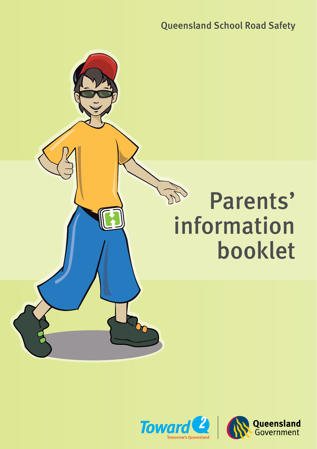Queensland School Road Safety



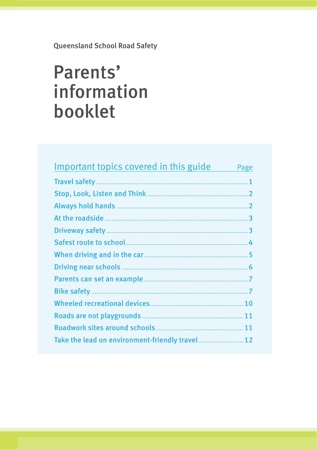Queensland School Road Safety

# Parents' information booklet

| Important topics covered in this guide | Page |
|----------------------------------------|------|
|                                        |      |
|                                        |      |
|                                        |      |
|                                        | 3    |
|                                        |      |
|                                        |      |
|                                        |      |
|                                        |      |
|                                        |      |
|                                        |      |
|                                        |      |
|                                        |      |
|                                        | 11   |
|                                        |      |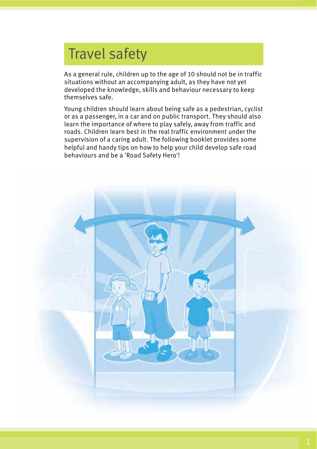# Travel safety

As a general rule, children up to the age of 10 should not be in traffic situations without an accompanying adult, as they have not yet developed the knowledge, skills and behaviour necessary to keep themselves safe.

Young children should learn about being safe as a pedestrian, cyclist or as a passenger, in a car and on public transport. They should also learn the importance of where to play safely, away from traffic and roads. Children learn best in the real traffic environment under the supervision of a caring adult. The following booklet provides some helpful and handy tips on how to help your child develop safe road behaviours and be a 'Road Safety Hero'!

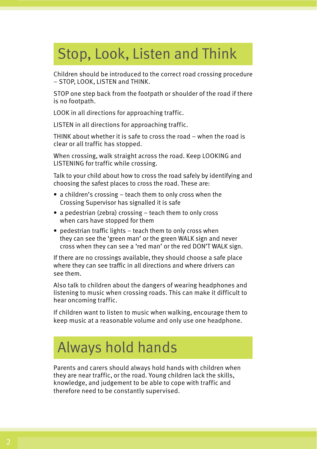# Stop, Look, Listen and Think

Children should be introduced to the correct road crossing procedure – STOP, LOOK, LISTEN and THINK.

STOP one step back from the footpath or shoulder of the road if there is no footpath.

LOOK in all directions for approaching traffic.

LISTEN in all directions for approaching traffic.

THINK about whether it is safe to cross the road – when the road is clear or all traffic has stopped.

When crossing, walk straight across the road. Keep LOOKING and LISTENING for traffic while crossing.

Talk to your child about how to cross the road safely by identifying and choosing the safest places to cross the road. These are:

- a children's crossing teach them to only cross when the Crossing Supervisor has signalled it is safe
- a pedestrian (zebra) crossing teach them to only cross when cars have stopped for them
- pedestrian traffic lights teach them to only cross when they can see the 'green man' or the green WALK sign and never cross when they can see a 'red man' or the red DON'T WALK sign.

If there are no crossings available, they should choose a safe place where they can see traffic in all directions and where drivers can see them.

Also talk to children about the dangers of wearing headphones and listening to music when crossing roads. This can make it difficult to hear oncoming traffic.

If children want to listen to music when walking, encourage them to keep music at a reasonable volume and only use one headphone.

# Always hold hands

Parents and carers should always hold hands with children when they are near traffic, or the road. Young children lack the skills, knowledge, and judgement to be able to cope with traffic and therefore need to be constantly supervised.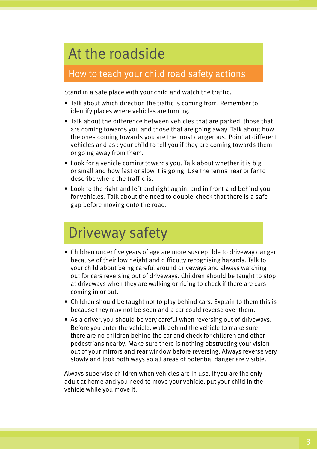# At the roadside

### How to teach your child road safety actions

Stand in a safe place with your child and watch the traffic.

- Talk about which direction the traffic is coming from. Remember to identify places where vehicles are turning.
- Talk about the difference between vehicles that are parked, those that are coming towards you and those that are going away. Talk about how the ones coming towards you are the most dangerous. Point at different vehicles and ask your child to tell you if they are coming towards them or going away from them.
- Look for a vehicle coming towards you. Talk about whether it is big or small and how fast or slow it is going. Use the terms near or far to describe where the traffic is.
- Look to the right and left and right again, and in front and behind you for vehicles. Talk about the need to double-check that there is a safe gap before moving onto the road.

# Driveway safety

- Children under five years of age are more susceptible to driveway danger because of their low height and difficulty recognising hazards. Talk to your child about being careful around driveways and always watching out for cars reversing out of driveways. Children should be taught to stop at driveways when they are walking or riding to check if there are cars coming in or out.
- Children should be taught not to play behind cars. Explain to them this is because they may not be seen and a car could reverse over them.
- As a driver, you should be very careful when reversing out of driveways. Before you enter the vehicle, walk behind the vehicle to make sure there are no children behind the car and check for children and other pedestrians nearby. Make sure there is nothing obstructing your vision out of your mirrors and rear window before reversing. Always reverse very slowly and look both ways so all areas of potential danger are visible.

Always supervise children when vehicles are in use. If you are the only adult at home and you need to move your vehicle, put your child in the vehicle while you move it.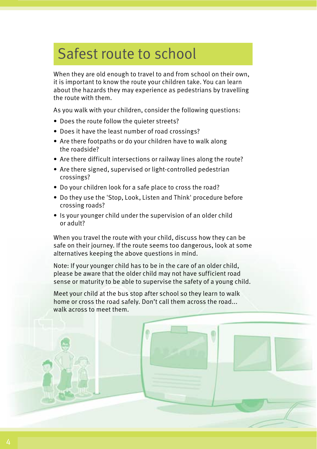# Safest route to school

When they are old enough to travel to and from school on their own, it is important to know the route your children take. You can learn about the hazards they may experience as pedestrians by travelling the route with them.

As you walk with your children, consider the following questions:

- Does the route follow the quieter streets?
- Does it have the least number of road crossings?
- Are there footpaths or do your children have to walk along the roadside?
- Are there difficult intersections or railway lines along the route?
- Are there signed, supervised or light-controlled pedestrian crossings?
- Do your children look for a safe place to cross the road?
- Do they use the 'Stop, Look, Listen and Think' procedure before crossing roads?
- Is your younger child under the supervision of an older child or adult?

When you travel the route with your child, discuss how they can be safe on their journey. If the route seems too dangerous, look at some alternatives keeping the above questions in mind.

Note: If your younger child has to be in the care of an older child, please be aware that the older child may not have sufficient road sense or maturity to be able to supervise the safety of a young child.

Meet your child at the bus stop after school so they learn to walk home or cross the road safely. Don't call them across the road... walk across to meet them.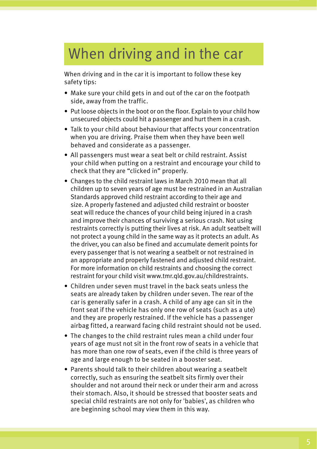# When driving and in the car

When driving and in the car it is important to follow these key safety tips:

- Make sure your child gets in and out of the car on the footpath side, away from the traffic.
- Put loose objects in the boot or on the floor. Explain to your child how unsecured objects could hit a passenger and hurt them in a crash.
- Talk to your child about behaviour that affects your concentration when you are driving. Praise them when they have been well behaved and considerate as a passenger.
- All passengers must wear a seat belt or child restraint. Assist your child when putting on a restraint and encourage your child to check that they are "clicked in" properly.
- Changes to the child restraint laws in March 2010 mean that all children up to seven years of age must be restrained in an Australian Standards approved child restraint according to their age and size. A properly fastened and adjusted child restraint or booster seat will reduce the chances of your child being injured in a crash and improve their chances of surviving a serious crash. Not using restraints correctly is putting their lives at risk. An adult seatbelt will not protect a young child in the same way as it protects an adult. As the driver, you can also be fined and accumulate demerit points for every passenger that is not wearing a seatbelt or not restrained in an appropriate and properly fastened and adjusted child restraint. For more information on child restraints and choosing the correct restraint for your child visit www.tmr.qld.gov.au/childrestraints.
- Children under seven must travel in the back seats unless the seats are already taken by children under seven. The rear of the car is generally safer in a crash. A child of any age can sit in the front seat if the vehicle has only one row of seats (such as a ute) and they are properly restrained. If the vehicle has a passenger airbag fitted, a rearward facing child restraint should not be used.
- The changes to the child restraint rules mean a child under four years of age must not sit in the front row of seats in a vehicle that has more than one row of seats, even if the child is three years of age and large enough to be seated in a booster seat.
- Parents should talk to their children about wearing a seatbelt correctly, such as ensuring the seatbelt sits firmly over their shoulder and not around their neck or under their arm and across their stomach. Also, it should be stressed that booster seats and special child restraints are not only for 'babies', as children who are beginning school may view them in this way.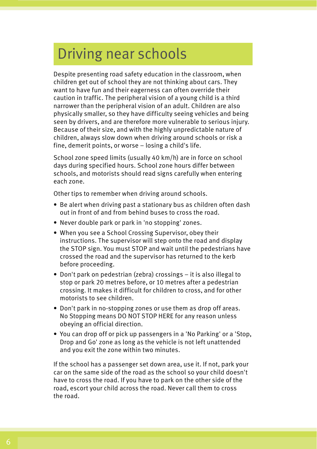# Driving near schools

Despite presenting road safety education in the classroom, when children get out of school they are not thinking about cars. They want to have fun and their eagerness can often override their caution in traffic. The peripheral vision of a young child is a third narrower than the peripheral vision of an adult. Children are also physically smaller, so they have difficulty seeing vehicles and being seen by drivers, and are therefore more vulnerable to serious injury. Because of their size, and with the highly unpredictable nature of children, always slow down when driving around schools or risk a fine, demerit points, or worse – losing a child's life.

School zone speed limits (usually 40 km/h) are in force on school days during specified hours. School zone hours differ between schools, and motorists should read signs carefully when entering each zone.

Other tips to remember when driving around schools.

- Be alert when driving past a stationary bus as children often dash out in front of and from behind buses to cross the road.
- Never double park or park in 'no stopping' zones.
- When you see a School Crossing Supervisor, obey their instructions. The supervisor will step onto the road and display the STOP sign. You must STOP and wait until the pedestrians have crossed the road and the supervisor has returned to the kerb before proceeding.
- Don't park on pedestrian (zebra) crossings it is also illegal to stop or park 20 metres before, or 10 metres after a pedestrian crossing. It makes it difficult for children to cross, and for other motorists to see children.
- Don't park in no-stopping zones or use them as drop off areas. No Stopping means DO NOT STOP HERE for any reason unless obeying an official direction.
- You can drop off or pick up passengers in a 'No Parking' or a 'Stop, Drop and Go' zone as long as the vehicle is not left unattended and you exit the zone within two minutes.

If the school has a passenger set down area, use it. If not, park your car on the same side of the road as the school so your child doesn't have to cross the road. If you have to park on the other side of the road, escort your child across the road. Never call them to cross the road.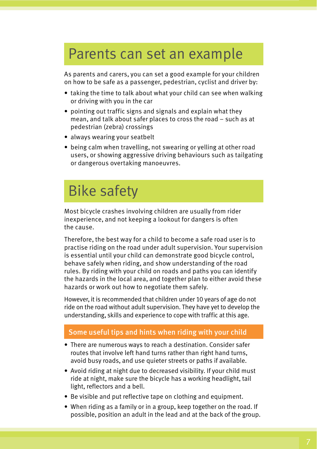### Parents can set an example

As parents and carers, you can set a good example for your children on how to be safe as a passenger, pedestrian, cyclist and driver by:

- taking the time to talk about what your child can see when walking or driving with you in the car
- pointing out traffic signs and signals and explain what they mean, and talk about safer places to cross the road – such as at pedestrian (zebra) crossings
- always wearing your seatbelt
- being calm when travelling, not swearing or yelling at other road users, or showing aggressive driving behaviours such as tailgating or dangerous overtaking manoeuvres.

## Bike safety

Most bicycle crashes involving children are usually from rider inexperience, and not keeping a lookout for dangers is often the cause.

Therefore, the best way for a child to become a safe road user is to practise riding on the road under adult supervision. Your supervision is essential until your child can demonstrate good bicycle control, behave safely when riding, and show understanding of the road rules. By riding with your child on roads and paths you can identify the hazards in the local area, and together plan to either avoid these hazards or work out how to negotiate them safely.

However, it is recommended that children under 10 years of age do not ride on the road without adult supervision. They have yet to develop the understanding, skills and experience to cope with traffic at this age.

### Some useful tips and hints when riding with your child

- There are numerous ways to reach a destination. Consider safer routes that involve left hand turns rather than right hand turns, avoid busy roads, and use quieter streets or paths if available.
- Avoid riding at night due to decreased visibility. If your child must ride at night, make sure the bicycle has a working headlight, tail light, reflectors and a bell.
- Be visible and put reflective tape on clothing and equipment.
- When riding as a family or in a group, keep together on the road. If possible, position an adult in the lead and at the back of the group.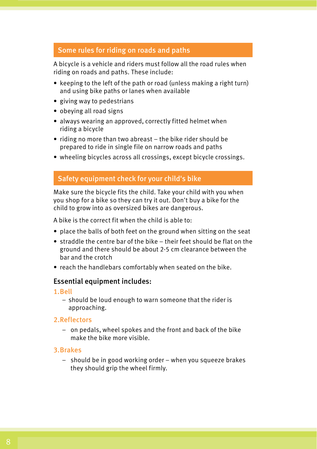### Some rules for riding on roads and paths

A bicycle is a vehicle and riders must follow all the road rules when riding on roads and paths. These include:

- keeping to the left of the path or road (unless making a right turn) and using bike paths or lanes when available
- giving way to pedestrians
- obeying all road signs
- always wearing an approved, correctly fitted helmet when riding a bicycle
- riding no more than two abreast the bike rider should be prepared to ride in single file on narrow roads and paths
- wheeling bicycles across all crossings, except bicycle crossings.

### Safety equipment check for your child's bike

Make sure the bicycle fits the child. Take your child with you when you shop for a bike so they can try it out. Don't buy a bike for the child to grow into as oversized bikes are dangerous.

A bike is the correct fit when the child is able to:

- place the balls of both feet on the ground when sitting on the seat
- straddle the centre bar of the bike their feet should be flat on the ground and there should be about 2-5 cm clearance between the bar and the crotch
- reach the handlebars comfortably when seated on the bike.

### Essential equipment includes:

### 1.Bell

– should be loud enough to warn someone that the rider is approaching.

### 2.Reflectors

– on pedals, wheel spokes and the front and back of the bike make the bike more visible.

### 3.Brakes

– should be in good working order – when you squeeze brakes they should grip the wheel firmly.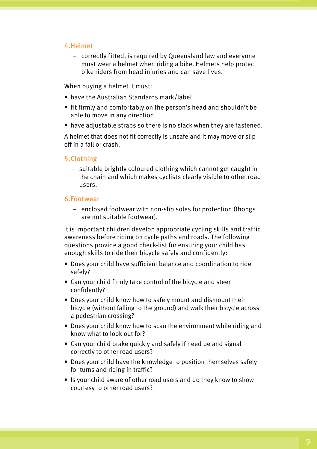### 4.Helmet

– correctly fitted, is required by Queensland law and everyone must wear a helmet when riding a bike. Helmets help protect bike riders from head injuries and can save lives.

When buying a helmet it must:

- have the Australian Standards mark/label
- fit firmly and comfortably on the person's head and shouldn't be able to move in any direction
- have adjustable straps so there is no slack when they are fastened.

A helmet that does not fit correctly is unsafe and it may move or slip off in a fall or crash.

### 5.Clothing

– suitable brightly coloured clothing which cannot get caught in the chain and which makes cyclists clearly visible to other road users.

### 6.Footwear

– enclosed footwear with non-slip soles for protection (thongs are not suitable footwear).

It is important children develop appropriate cycling skills and traffic awareness before riding on cycle paths and roads. The following questions provide a good check-list for ensuring your child has enough skills to ride their bicycle safely and confidently:

- Does your child have sufficient balance and coordination to ride safely?
- Can your child firmly take control of the bicycle and steer confidently?
- Does your child know how to safely mount and dismount their bicycle (without falling to the ground) and walk their bicycle across a pedestrian crossing?
- Does your child know how to scan the environment while riding and know what to look out for?
- Can your child brake quickly and safely if need be and signal correctly to other road users?
- Does your child have the knowledge to position themselves safely for turns and riding in traffic?
- Is your child aware of other road users and do they know to show courtesy to other road users?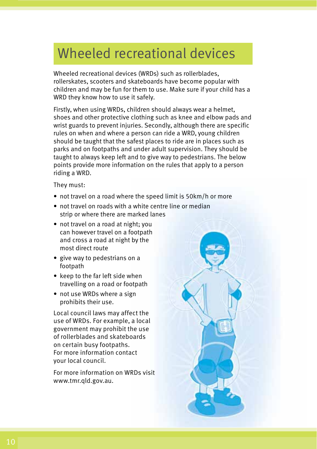# Wheeled recreational devices

Wheeled recreational devices (WRDs) such as rollerblades, rollerskates, scooters and skateboards have become popular with children and may be fun for them to use. Make sure if your child has a WRD they know how to use it safely.

Firstly, when using WRDs, children should always wear a helmet, shoes and other protective clothing such as knee and elbow pads and wrist guards to prevent injuries. Secondly, although there are specific rules on when and where a person can ride a WRD, young children should be taught that the safest places to ride are in places such as parks and on footpaths and under adult supervision. They should be taught to always keep left and to give way to pedestrians. The below points provide more information on the rules that apply to a person riding a WRD.

They must:

- not travel on a road where the speed limit is 50km/h or more
- not travel on roads with a white centre line or median strip or where there are marked lanes
- not travel on a road at night; you can however travel on a footpath and cross a road at night by the most direct route
- give way to pedestrians on a footpath
- keep to the far left side when travelling on a road or footpath
- not use WRDs where a sign prohibits their use.

Local council laws may affect the use of WRDs. For example, a local government may prohibit the use of rollerblades and skateboards on certain busy footpaths. For more information contact your local council.

For more information on WRDs visit www.tmr.qld.gov.au.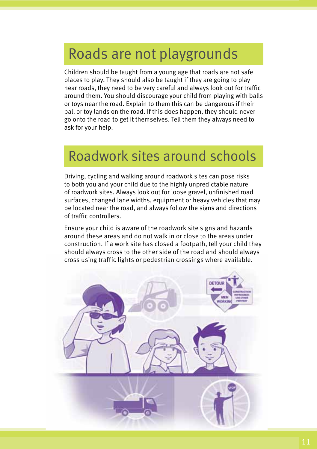### Roads are not playgrounds

Children should be taught from a young age that roads are not safe places to play. They should also be taught if they are going to play near roads, they need to be very careful and always look out for traffic around them. You should discourage your child from playing with balls or toys near the road. Explain to them this can be dangerous if their ball or toy lands on the road. If this does happen, they should never go onto the road to get it themselves. Tell them they always need to ask for your help.

## Roadwork sites around schools

Driving, cycling and walking around roadwork sites can pose risks to both you and your child due to the highly unpredictable nature of roadwork sites. Always look out for loose gravel, unfinished road surfaces, changed lane widths, equipment or heavy vehicles that may be located near the road, and always follow the signs and directions of traffic controllers.

Ensure your child is aware of the roadwork site signs and hazards around these areas and do not walk in or close to the areas under construction. If a work site has closed a footpath, tell your child they should always cross to the other side of the road and should always cross using traffic lights or pedestrian crossings where available.

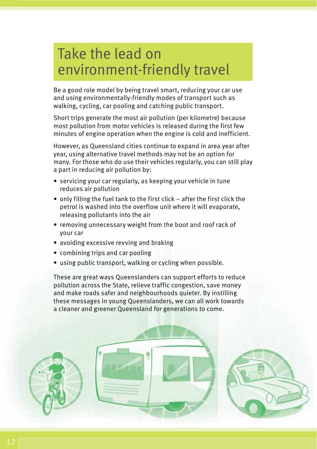# Take the lead on environment-friendly travel

Be a good role model by being travel smart, reducing your car use and using environmentally-friendly modes of transport such as walking, cycling, car pooling and catching public transport.

Short trips generate the most air pollution (per kilometre) because most pollution from motor vehicles is released during the first few minutes of engine operation when the engine is cold and inefficient.

However, as Queensland cities continue to expand in area year after year, using alternative travel methods may not be an option for many. For those who do use their vehicles regularly, you can still play a part in reducing air pollution by:

- servicing your car regularly, as keeping your vehicle in tune reduces air pollution
- only filling the fuel tank to the first click after the first click the petrol is washed into the overflow unit where it will evaporate, releasing pollutants into the air
- removing unnecessary weight from the boot and roof rack of your car
- avoiding excessive revving and braking
- combining trips and car pooling
- using public transport, walking or cycling when possible.

These are great ways Queenslanders can support efforts to reduce pollution across the State, relieve traffic congestion, save money and make roads safer and neighbourhoods quieter. By instilling these messages in young Queenslanders, we can all work towards a cleaner and greener Queensland for generations to come.

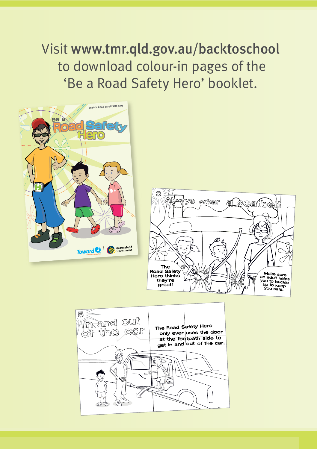Visit www.tmr.qld.gov.au/backtoschool to download colour-in pages of the 'Be a Road Safety Hero' booklet.